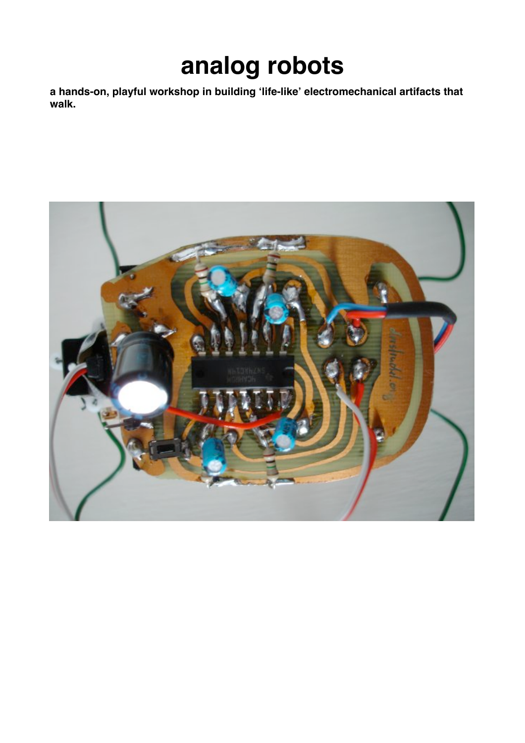# **analog robots**

**a hands-on, playful workshop in building 'life-like' electromechanical artifacts that walk.**

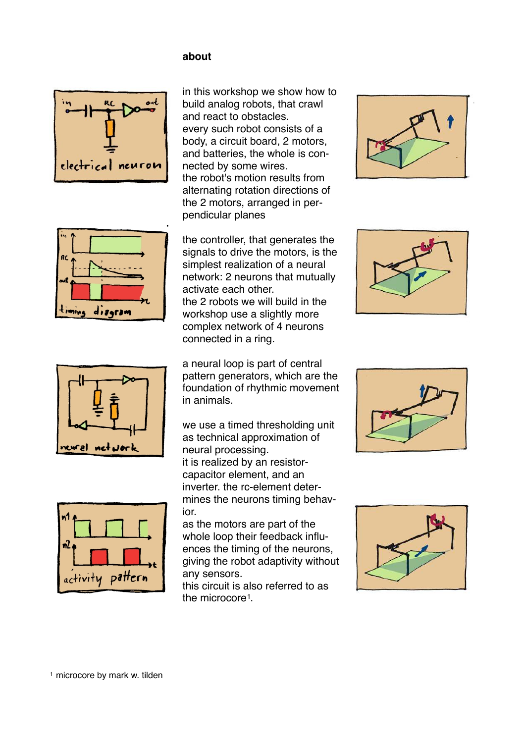#### **about**



in this workshop we show how to build analog robots, that crawl and react to obstacles. every such robot consists of a body, a circuit board, 2 motors, and batteries, the whole is connected by some wires. the robot's motion results from alternating rotation directions of the 2 motors, arranged in perpendicular planes



the controller, that generates the signals to drive the motors, is the simplest realization of a neural network: 2 neurons that mutually activate each other. the 2 robots we will build in the workshop use a slightly more complex network of 4 neurons connected in a ring.

a neural loop is part of central pattern generators, which are the foundation of rhythmic movement in animals.

we use a timed thresholding unit as technical approximation of neural processing. it is realized by an resistorcapacitor element, and an inverter. the rc-element determines the neurons timing behavior.

as the motors are part of the whole loop their feedback influences the timing of the neurons, giving the robot adaptivity without any sensors.

this circuit is also referred to as the microcore<sup>1</sup>.











activity pattern

ฟ

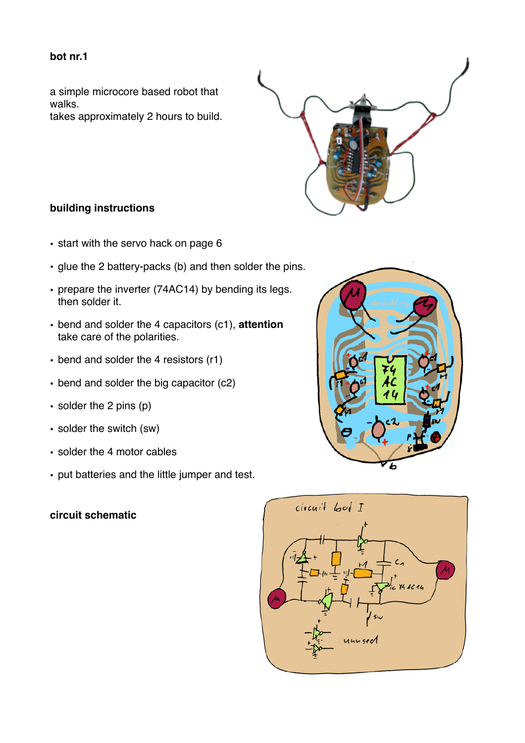#### **bot nr.1**

a simple microcore based robot that walks. takes approximately 2 hours to build.



## **building instructions**

- start with the servo hack on page 6
- glue the 2 battery-packs (b) and then solder the pins.
- prepare the inverter (74AC14) by bending its legs. then solder it.
- bend and solder the 4 capacitors (c1), **attention**  take care of the polarities.
- bend and solder the 4 resistors (r1)
- bend and solder the big capacitor (c2)
- solder the 2 pins (p)
- solder the switch (sw)
- solder the 4 motor cables
- put batteries and the little jumper and test.

## **circuit schematic**



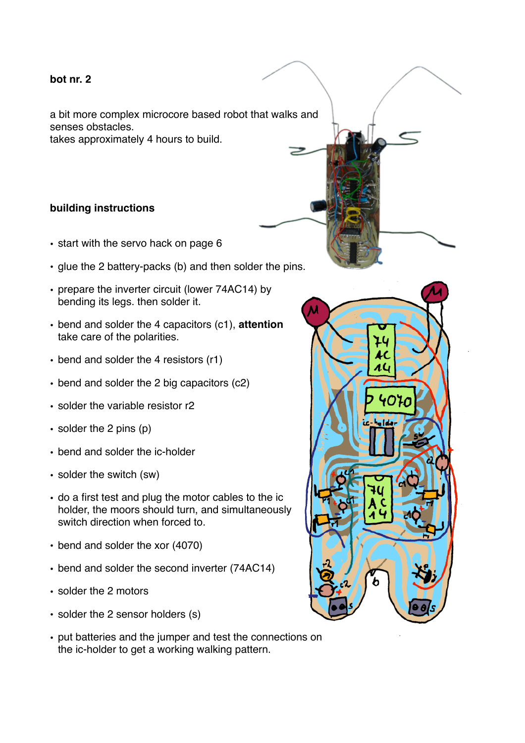#### **bot nr. 2**

a bit more complex microcore based robot that walks and senses obstacles. takes approximately 4 hours to build.

**building instructions**

- start with the servo hack on page 6
- glue the 2 battery-packs (b) and then solder the pins.
- prepare the inverter circuit (lower 74AC14) by bending its legs. then solder it.
- bend and solder the 4 capacitors (c1), **attention**  take care of the polarities.
- bend and solder the 4 resistors (r1)
- bend and solder the 2 big capacitors (c2)
- solder the variable resistor r2
- solder the 2 pins (p)
- bend and solder the ic-holder
- solder the switch (sw)
- do a first test and plug the motor cables to the ic holder, the moors should turn, and simultaneously switch direction when forced to.
- bend and solder the xor (4070)
- bend and solder the second inverter (74AC14)
- solder the 2 motors
- solder the 2 sensor holders (s)
- put batteries and the jumper and test the connections on the ic-holder to get a working walking pattern.

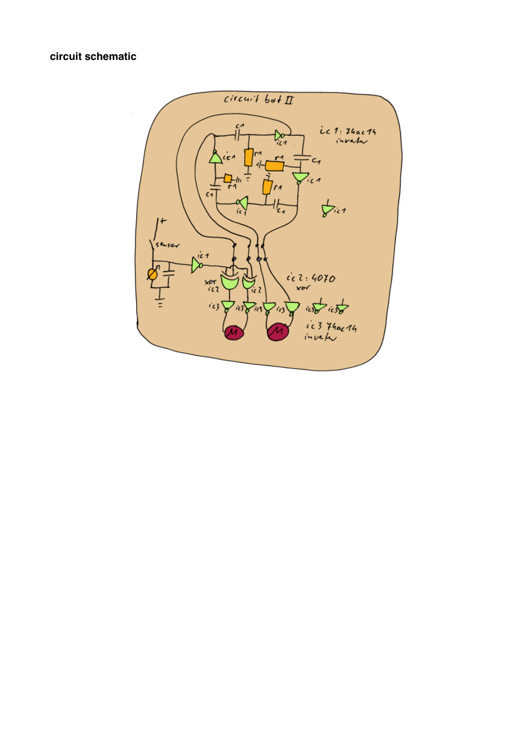## **circuit schematic**

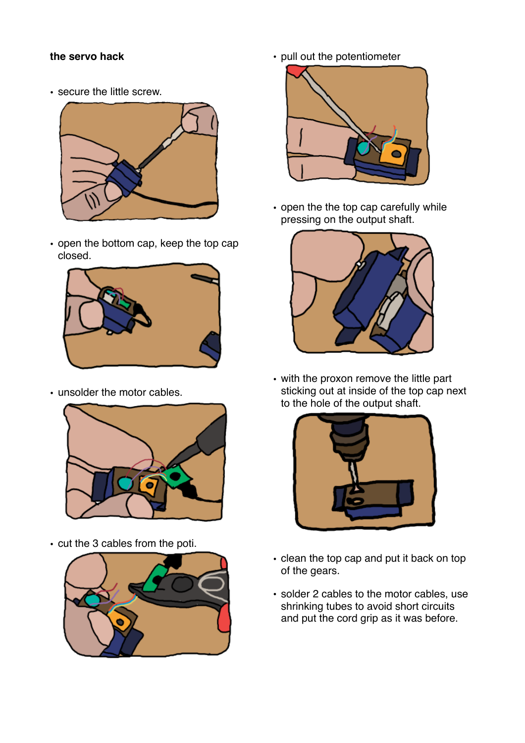## **the servo hack**

• secure the little screw.



• open the bottom cap, keep the top cap closed.



• unsolder the motor cables.



• cut the 3 cables from the poti.



• pull out the potentiometer



• open the the top cap carefully while pressing on the output shaft.



• with the proxon remove the little part sticking out at inside of the top cap next to the hole of the output shaft.



- clean the top cap and put it back on top of the gears.
- solder 2 cables to the motor cables, use shrinking tubes to avoid short circuits and put the cord grip as it was before.